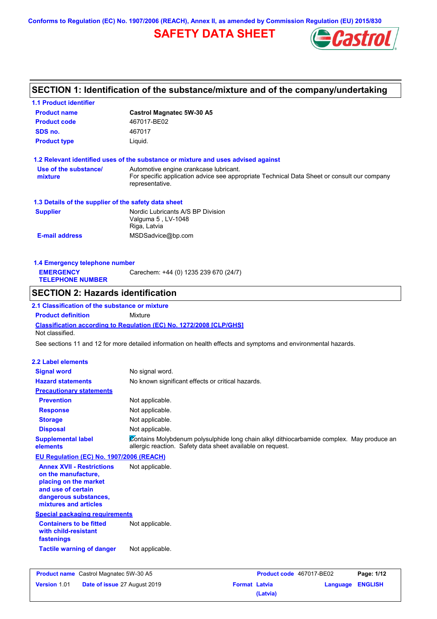**Conforms to Regulation (EC) No. 1907/2006 (REACH), Annex II, as amended by Commission Regulation (EU) 2015/830**

# **SAFETY DATA SHEET**



# **SECTION 1: Identification of the substance/mixture and of the company/undertaking**

| <b>1.1 Product identifier</b>                                        |                                                                                                                |
|----------------------------------------------------------------------|----------------------------------------------------------------------------------------------------------------|
| <b>Product name</b>                                                  | <b>Castrol Magnatec 5W-30 A5</b>                                                                               |
| <b>Product code</b>                                                  | 467017-BE02                                                                                                    |
| SDS no.                                                              | 467017                                                                                                         |
| <b>Product type</b>                                                  | Liquid.                                                                                                        |
|                                                                      | 1.2 Relevant identified uses of the substance or mixture and uses advised against                              |
| Use of the substance/                                                | Automotive engine crankcase lubricant.                                                                         |
| mixture                                                              | For specific application advice see appropriate Technical Data Sheet or consult our company<br>representative. |
| 1.3 Details of the supplier of the safety data sheet                 |                                                                                                                |
| <b>Supplier</b>                                                      | Nordic Lubricants A/S BP Division<br>Valguma 5, LV-1048<br>Riga, Latvia                                        |
| <b>E-mail address</b>                                                | MSDSadvice@bp.com                                                                                              |
|                                                                      |                                                                                                                |
| 1.4 Emergency telephone number<br><b>EMERGENCY</b>                   | Carechem: +44 (0) 1235 239 670 (24/7)                                                                          |
| <b>TELEPHONE NUMBER</b>                                              |                                                                                                                |
| <b>SECTION 2: Hazards identification</b>                             |                                                                                                                |
|                                                                      |                                                                                                                |
| 2.1 Classification of the substance or mixture                       |                                                                                                                |
| <b>Product definition</b>                                            | Mixture                                                                                                        |
|                                                                      | Classification according to Regulation (EC) No. 1272/2008 [CLP/GHS]                                            |
| Not classified.                                                      | See sections 11 and 12 for more detailed information on health effects and symptoms and environmental hazards. |
|                                                                      |                                                                                                                |
| <b>2.2 Label elements</b>                                            |                                                                                                                |
| <b>Signal word</b>                                                   | No signal word.                                                                                                |
| <b>Hazard statements</b>                                             | No known significant effects or critical hazards.                                                              |
| <b>Precautionary statements</b><br><b>Prevention</b>                 |                                                                                                                |
|                                                                      | Not applicable.                                                                                                |
| <b>Response</b>                                                      | Not applicable.                                                                                                |
| <b>Storage</b>                                                       | Not applicable.                                                                                                |
| <b>Disposal</b><br><b>Supplemental label</b>                         | Not applicable.<br>Contains Molybdenum polysulphide long chain alkyl dithiocarbamide complex. May produce an   |
| elements                                                             | allergic reaction. Safety data sheet available on request.                                                     |
| EU Regulation (EC) No. 1907/2006 (REACH)                             |                                                                                                                |
| <b>Annex XVII - Restrictions</b><br>on the manufacture,              | Not applicable.                                                                                                |
| placing on the market                                                |                                                                                                                |
| and use of certain                                                   |                                                                                                                |
| dangerous substances,                                                |                                                                                                                |
| mixtures and articles                                                |                                                                                                                |
| <b>Special packaging requirements</b>                                |                                                                                                                |
| <b>Containers to be fitted</b><br>with child-resistant<br>fastenings | Not applicable.                                                                                                |
| <b>Tactile warning of danger</b>                                     | Not applicable.                                                                                                |

| <b>Product name</b> Castrol Magnatec 5W-30 A5 |                                     |                      | Product code 467017-BE02 |                  | Page: 1/12 |
|-----------------------------------------------|-------------------------------------|----------------------|--------------------------|------------------|------------|
| <b>Version 1.01</b>                           | <b>Date of issue 27 August 2019</b> | <b>Format Latvia</b> |                          | Language ENGLISH |            |
|                                               |                                     |                      | (Latvia)                 |                  |            |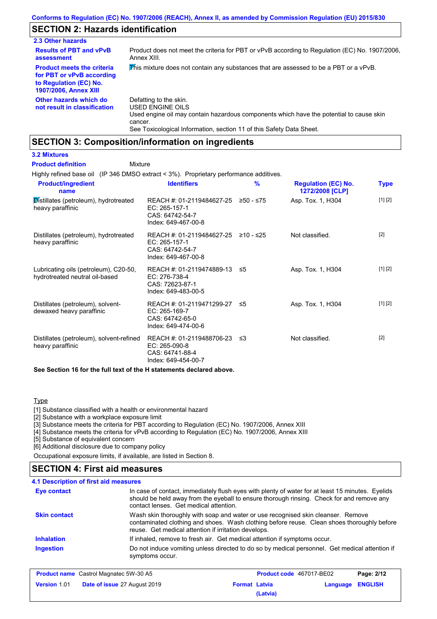# **SECTION 2: Hazards identification**

| 2.3 Other hazards                                                                                                        |                                                                                                                                                                                                                          |
|--------------------------------------------------------------------------------------------------------------------------|--------------------------------------------------------------------------------------------------------------------------------------------------------------------------------------------------------------------------|
| <b>Results of PBT and vPvB</b><br>assessment                                                                             | Product does not meet the criteria for PBT or vPvB according to Regulation (EC) No. 1907/2006.<br>Annex XIII.                                                                                                            |
| <b>Product meets the criteria</b><br>for PBT or vPvB according<br>to Regulation (EC) No.<br><b>1907/2006, Annex XIII</b> | This mixture does not contain any substances that are assessed to be a PBT or a vPvB.                                                                                                                                    |
| Other hazards which do<br>not result in classification                                                                   | Defatting to the skin.<br>USED ENGINE OILS<br>Used engine oil may contain hazardous components which have the potential to cause skin<br>cancer.<br>See Toxicological Information, section 11 of this Safety Data Sheet. |

## **SECTION 3: Composition/information on ingredients**

**3.2 Mixtures Product definition**

### Mixture

Highly refined base oil (IP 346 DMSO extract < 3%). Proprietary performance additives.

| <b>Product/ingredient</b><br>name                                       | <b>Identifiers</b>                                                                      | $\frac{9}{6}$ | <b>Regulation (EC) No.</b><br>1272/2008 [CLP] | <b>Type</b> |
|-------------------------------------------------------------------------|-----------------------------------------------------------------------------------------|---------------|-----------------------------------------------|-------------|
| Distillates (petroleum), hydrotreated<br>heavy paraffinic               | REACH #: 01-2119484627-25<br>EC: 265-157-1<br>CAS: 64742-54-7<br>Index: 649-467-00-8    | ≥50 - ≤75     | Asp. Tox. 1, H304                             | [1] [2]     |
| Distillates (petroleum), hydrotreated<br>heavy paraffinic               | REACH #: 01-2119484627-25<br>EC: 265-157-1<br>CAS: 64742-54-7<br>Index: 649-467-00-8    | ≥10 - ≤25     | Not classified.                               | $[2]$       |
| Lubricating oils (petroleum), C20-50,<br>hydrotreated neutral oil-based | REACH #: 01-2119474889-13<br>EC: 276-738-4<br>CAS: 72623-87-1<br>Index: 649-483-00-5    | 55            | Asp. Tox. 1, H304                             | [1] [2]     |
| Distillates (petroleum), solvent-<br>dewaxed heavy paraffinic           | REACH #: 01-2119471299-27 ≤5<br>EC: 265-169-7<br>CAS: 64742-65-0<br>Index: 649-474-00-6 |               | Asp. Tox. 1, H304                             | [1] [2]     |
| Distillates (petroleum), solvent-refined<br>heavy paraffinic            | REACH #: 01-2119488706-23<br>EC: 265-090-8<br>CAS: 64741-88-4<br>Index: 649-454-00-7    | -≤3           | Not classified.                               | $[2]$       |

**See Section 16 for the full text of the H statements declared above.**

#### Type

[1] Substance classified with a health or environmental hazard

[2] Substance with a workplace exposure limit

[3] Substance meets the criteria for PBT according to Regulation (EC) No. 1907/2006, Annex XIII

[4] Substance meets the criteria for vPvB according to Regulation (EC) No. 1907/2006, Annex XIII

[5] Substance of equivalent concern

[6] Additional disclosure due to company policy

Occupational exposure limits, if available, are listed in Section 8.

### **SECTION 4: First aid measures**

#### **4.1 Description of first aid measures**

| <b>Eye contact</b>  | In case of contact, immediately flush eyes with plenty of water for at least 15 minutes. Eyelids<br>should be held away from the eyeball to ensure thorough rinsing. Check for and remove any<br>contact lenses. Get medical attention. |
|---------------------|-----------------------------------------------------------------------------------------------------------------------------------------------------------------------------------------------------------------------------------------|
| <b>Skin contact</b> | Wash skin thoroughly with soap and water or use recognised skin cleanser. Remove<br>contaminated clothing and shoes. Wash clothing before reuse. Clean shoes thoroughly before<br>reuse. Get medical attention if irritation develops.  |
| <b>Inhalation</b>   | If inhaled, remove to fresh air. Get medical attention if symptoms occur.                                                                                                                                                               |
| <b>Ingestion</b>    | Do not induce vomiting unless directed to do so by medical personnel. Get medical attention if<br>symptoms occur.                                                                                                                       |

| <b>Product name</b> Castrol Magnatec 5W-30 A5 |                                     |                      | <b>Product code</b> 467017-BE02 |                  |
|-----------------------------------------------|-------------------------------------|----------------------|---------------------------------|------------------|
| <b>Version 1.01</b>                           | <b>Date of issue 27 August 2019</b> | <b>Format Latvia</b> |                                 | Language ENGLISH |
|                                               |                                     | (Latvia)             |                                 |                  |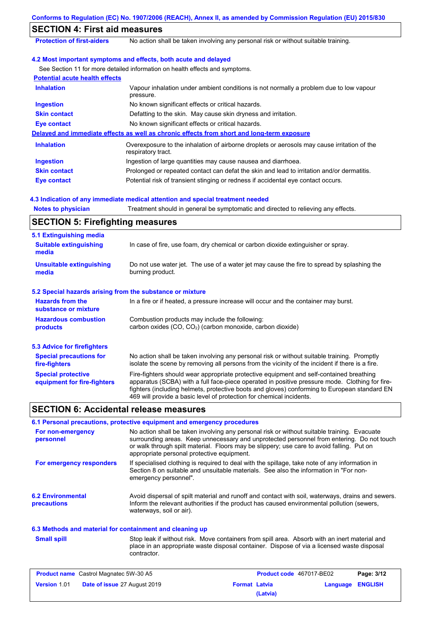|                                                           | Conforms to Regulation (EC) No. 1907/2006 (REACH), Annex II, as amended by Commission Regulation (EU) 2015/830                                                                                                                                                                                                                                                    |
|-----------------------------------------------------------|-------------------------------------------------------------------------------------------------------------------------------------------------------------------------------------------------------------------------------------------------------------------------------------------------------------------------------------------------------------------|
| <b>SECTION 4: First aid measures</b>                      |                                                                                                                                                                                                                                                                                                                                                                   |
| <b>Protection of first-aiders</b>                         | No action shall be taken involving any personal risk or without suitable training.                                                                                                                                                                                                                                                                                |
|                                                           |                                                                                                                                                                                                                                                                                                                                                                   |
|                                                           | 4.2 Most important symptoms and effects, both acute and delayed                                                                                                                                                                                                                                                                                                   |
| <b>Potential acute health effects</b>                     | See Section 11 for more detailed information on health effects and symptoms.                                                                                                                                                                                                                                                                                      |
| <b>Inhalation</b>                                         | Vapour inhalation under ambient conditions is not normally a problem due to low vapour                                                                                                                                                                                                                                                                            |
|                                                           | pressure.                                                                                                                                                                                                                                                                                                                                                         |
| <b>Ingestion</b>                                          | No known significant effects or critical hazards.                                                                                                                                                                                                                                                                                                                 |
| <b>Skin contact</b>                                       | Defatting to the skin. May cause skin dryness and irritation.                                                                                                                                                                                                                                                                                                     |
| <b>Eye contact</b>                                        | No known significant effects or critical hazards.                                                                                                                                                                                                                                                                                                                 |
|                                                           | Delayed and immediate effects as well as chronic effects from short and long-term exposure                                                                                                                                                                                                                                                                        |
| <b>Inhalation</b>                                         | Overexposure to the inhalation of airborne droplets or aerosols may cause irritation of the<br>respiratory tract.                                                                                                                                                                                                                                                 |
| <b>Ingestion</b>                                          | Ingestion of large quantities may cause nausea and diarrhoea.                                                                                                                                                                                                                                                                                                     |
| <b>Skin contact</b>                                       | Prolonged or repeated contact can defat the skin and lead to irritation and/or dermatitis.                                                                                                                                                                                                                                                                        |
| <b>Eye contact</b>                                        | Potential risk of transient stinging or redness if accidental eye contact occurs.                                                                                                                                                                                                                                                                                 |
|                                                           |                                                                                                                                                                                                                                                                                                                                                                   |
|                                                           | 4.3 Indication of any immediate medical attention and special treatment needed                                                                                                                                                                                                                                                                                    |
| <b>Notes to physician</b>                                 | Treatment should in general be symptomatic and directed to relieving any effects.                                                                                                                                                                                                                                                                                 |
| <b>SECTION 5: Firefighting measures</b>                   |                                                                                                                                                                                                                                                                                                                                                                   |
| 5.1 Extinguishing media                                   |                                                                                                                                                                                                                                                                                                                                                                   |
| <b>Suitable extinguishing</b><br>media                    | In case of fire, use foam, dry chemical or carbon dioxide extinguisher or spray.                                                                                                                                                                                                                                                                                  |
| <b>Unsuitable extinguishing</b><br>media                  | Do not use water jet. The use of a water jet may cause the fire to spread by splashing the<br>burning product.                                                                                                                                                                                                                                                    |
| 5.2 Special hazards arising from the substance or mixture |                                                                                                                                                                                                                                                                                                                                                                   |
| <b>Hazards from the</b>                                   | In a fire or if heated, a pressure increase will occur and the container may burst.                                                                                                                                                                                                                                                                               |
| substance or mixture                                      |                                                                                                                                                                                                                                                                                                                                                                   |
| <b>Hazardous combustion</b><br>products                   | Combustion products may include the following:<br>carbon oxides (CO, CO <sub>2</sub> ) (carbon monoxide, carbon dioxide)                                                                                                                                                                                                                                          |
| <b>5.3 Advice for firefighters</b>                        |                                                                                                                                                                                                                                                                                                                                                                   |
| <b>Special precautions for</b><br>fire-fighters           | No action shall be taken involving any personal risk or without suitable training. Promptly<br>isolate the scene by removing all persons from the vicinity of the incident if there is a fire.                                                                                                                                                                    |
| <b>Special protective</b><br>equipment for fire-fighters  | Fire-fighters should wear appropriate protective equipment and self-contained breathing<br>apparatus (SCBA) with a full face-piece operated in positive pressure mode. Clothing for fire-<br>fighters (including helmets, protective boots and gloves) conforming to European standard EN<br>469 will provide a basic level of protection for chemical incidents. |
| <b>SECTION 6: Accidental release measures</b>             |                                                                                                                                                                                                                                                                                                                                                                   |
|                                                           | 6.1 Personal precautions, protective equipment and emergency procedures                                                                                                                                                                                                                                                                                           |
| For non-emergency<br>personnel                            | No action shall be taken involving any personal risk or without suitable training. Evacuate<br>surrounding areas. Keep unnecessary and unprotected personnel from entering. Do not touch<br>or walk through spilt material. Floors may be slippery; use care to avoid falling. Put on<br>appropriate personal protective equipment.                               |
| For emergency responders                                  | If specialised clothing is required to deal with the spillage, take note of any information in<br>Section 8 on suitable and unsuitable materials. See also the information in "For non-<br>emergency personnel".                                                                                                                                                  |
| <b>6.2 Environmental</b><br>precautions                   | Avoid dispersal of spilt material and runoff and contact with soil, waterways, drains and sewers.<br>Inform the relevant authorities if the product has caused environmental pollution (sewers,<br>waterways, soil or air).                                                                                                                                       |
| 6.3 Methods and material for containment and cleaning up  |                                                                                                                                                                                                                                                                                                                                                                   |
| <b>Small spill</b>                                        | Stop leak if without risk. Move containers from spill area. Absorb with an inert material and<br>place in an appropriate waste disposal container. Dispose of via a licensed waste disposal<br>contractor.                                                                                                                                                        |

| <b>Product name</b> Castrol Magnatec 5W-30 A5 |                                     | <b>Product code</b> 467017-BE02 |          | Page: 3/12       |  |
|-----------------------------------------------|-------------------------------------|---------------------------------|----------|------------------|--|
| <b>Version 1.01</b>                           | <b>Date of issue 27 August 2019</b> | <b>Format Latvia</b>            |          | Language ENGLISH |  |
|                                               |                                     |                                 | (Latvia) |                  |  |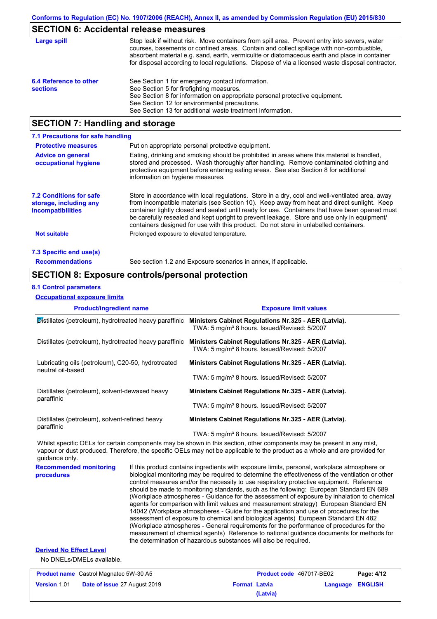### **SECTION 6: Accidental release measures**

| Large spill                               | Stop leak if without risk. Move containers from spill area. Prevent entry into sewers, water<br>courses, basements or confined areas. Contain and collect spillage with non-combustible,<br>absorbent material e.g. sand, earth, vermiculite or diatomaceous earth and place in container<br>for disposal according to local regulations. Dispose of via a licensed waste disposal contractor. |
|-------------------------------------------|------------------------------------------------------------------------------------------------------------------------------------------------------------------------------------------------------------------------------------------------------------------------------------------------------------------------------------------------------------------------------------------------|
| 6.4 Reference to other<br><b>sections</b> | See Section 1 for emergency contact information.<br>See Section 5 for firefighting measures.<br>See Section 8 for information on appropriate personal protective equipment.<br>See Section 12 for environmental precautions.<br>See Section 13 for additional waste treatment information.                                                                                                     |

### **SECTION 7: Handling and storage**

| 7.1 Precautions for safe handling                                                    |                                                                                                                                                                                                                                                                                                                                                                                                                                                                                          |
|--------------------------------------------------------------------------------------|------------------------------------------------------------------------------------------------------------------------------------------------------------------------------------------------------------------------------------------------------------------------------------------------------------------------------------------------------------------------------------------------------------------------------------------------------------------------------------------|
| <b>Protective measures</b>                                                           | Put on appropriate personal protective equipment.                                                                                                                                                                                                                                                                                                                                                                                                                                        |
| <b>Advice on general</b><br>occupational hygiene                                     | Eating, drinking and smoking should be prohibited in areas where this material is handled,<br>stored and processed. Wash thoroughly after handling. Remove contaminated clothing and<br>protective equipment before entering eating areas. See also Section 8 for additional<br>information on hygiene measures.                                                                                                                                                                         |
| <b>7.2 Conditions for safe</b><br>storage, including any<br><i>incompatibilities</i> | Store in accordance with local requiations. Store in a dry, cool and well-ventilated area, away<br>from incompatible materials (see Section 10). Keep away from heat and direct sunlight. Keep<br>container tightly closed and sealed until ready for use. Containers that have been opened must<br>be carefully resealed and kept upright to prevent leakage. Store and use only in equipment/<br>containers designed for use with this product. Do not store in unlabelled containers. |
| <b>Not suitable</b>                                                                  | Prolonged exposure to elevated temperature.                                                                                                                                                                                                                                                                                                                                                                                                                                              |
| 7.3 Specific end use(s)                                                              |                                                                                                                                                                                                                                                                                                                                                                                                                                                                                          |
| <b>Recommendations</b>                                                               | See section 1.2 and Exposure scenarios in annex, if applicable.                                                                                                                                                                                                                                                                                                                                                                                                                          |

### **SECTION 8: Exposure controls/personal protection**

#### **8.1 Control parameters**

**Occupational exposure limits**

| <b>Product/ingredient name</b>                                          | <b>Exposure limit values</b>                                                                                     |
|-------------------------------------------------------------------------|------------------------------------------------------------------------------------------------------------------|
| Distillates (petroleum), hydrotreated heavy paraffinic                  | Ministers Cabinet Regulations Nr.325 - AER (Latvia).<br>TWA: 5 mg/m <sup>3</sup> 8 hours. Issued/Revised: 5/2007 |
| Distillates (petroleum), hydrotreated heavy paraffinic                  | Ministers Cabinet Regulations Nr.325 - AER (Latvia).<br>TWA: 5 mg/m <sup>3</sup> 8 hours. Issued/Revised: 5/2007 |
| Lubricating oils (petroleum), C20-50, hydrotreated<br>neutral oil-based | Ministers Cabinet Regulations Nr.325 - AER (Latvia).                                                             |
|                                                                         | TWA: 5 mg/m <sup>3</sup> 8 hours. Issued/Revised: 5/2007                                                         |
| Distillates (petroleum), solvent-dewaxed heavy                          | Ministers Cabinet Regulations Nr.325 - AER (Latvia).                                                             |
| paraffinic                                                              | TWA: 5 mg/m <sup>3</sup> 8 hours. Issued/Revised: 5/2007                                                         |
| Distillates (petroleum), solvent-refined heavy                          | Ministers Cabinet Regulations Nr.325 - AER (Latvia).                                                             |
| paraffinic                                                              | TWA: 5 mg/m <sup>3</sup> 8 hours. Issued/Revised: 5/2007                                                         |

Whilst specific OELs for certain components may be shown in this section, other components may be present in any mist, vapour or dust produced. Therefore, the specific OELs may not be applicable to the product as a whole and are provided for guidance only.

**Recommended monitoring procedures** If this product contains ingredients with exposure limits, personal, workplace atmosphere or biological monitoring may be required to determine the effectiveness of the ventilation or other control measures and/or the necessity to use respiratory protective equipment. Reference should be made to monitoring standards, such as the following: European Standard EN 689 (Workplace atmospheres - Guidance for the assessment of exposure by inhalation to chemical agents for comparison with limit values and measurement strategy) European Standard EN 14042 (Workplace atmospheres - Guide for the application and use of procedures for the assessment of exposure to chemical and biological agents) European Standard EN 482 (Workplace atmospheres - General requirements for the performance of procedures for the measurement of chemical agents) Reference to national guidance documents for methods for the determination of hazardous substances will also be required.

#### **Derived No Effect Level**

No DNELs/DMELs available.

| <b>Product name</b> Castrol Magnatec 5W-30 A5 |                                     | <b>Product code</b> 467017-BE02 |          | Page: 4/12       |  |
|-----------------------------------------------|-------------------------------------|---------------------------------|----------|------------------|--|
| <b>Version 1.01</b>                           | <b>Date of issue 27 August 2019</b> | <b>Format Latvia</b>            |          | Language ENGLISH |  |
|                                               |                                     |                                 | (Latvia) |                  |  |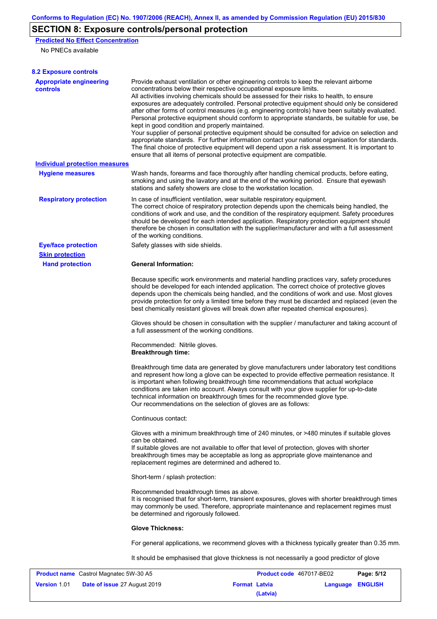# **SECTION 8: Exposure controls/personal protection**

**Predicted No Effect Concentration** No PNECs available

**Version** 1.01

| <b>8.2 Exposure controls</b>                      |                                                                                                                                                                                                                                                                                                                                                                                                                                                                                                                                                                                                                                                                                                                                                                                                                                                                                                                                                                                                         |                          |            |
|---------------------------------------------------|---------------------------------------------------------------------------------------------------------------------------------------------------------------------------------------------------------------------------------------------------------------------------------------------------------------------------------------------------------------------------------------------------------------------------------------------------------------------------------------------------------------------------------------------------------------------------------------------------------------------------------------------------------------------------------------------------------------------------------------------------------------------------------------------------------------------------------------------------------------------------------------------------------------------------------------------------------------------------------------------------------|--------------------------|------------|
| <b>Appropriate engineering</b><br><b>controls</b> | Provide exhaust ventilation or other engineering controls to keep the relevant airborne<br>concentrations below their respective occupational exposure limits.<br>All activities involving chemicals should be assessed for their risks to health, to ensure<br>exposures are adequately controlled. Personal protective equipment should only be considered<br>after other forms of control measures (e.g. engineering controls) have been suitably evaluated.<br>Personal protective equipment should conform to appropriate standards, be suitable for use, be<br>kept in good condition and properly maintained.<br>Your supplier of personal protective equipment should be consulted for advice on selection and<br>appropriate standards. For further information contact your national organisation for standards.<br>The final choice of protective equipment will depend upon a risk assessment. It is important to<br>ensure that all items of personal protective equipment are compatible. |                          |            |
| <b>Individual protection measures</b>             |                                                                                                                                                                                                                                                                                                                                                                                                                                                                                                                                                                                                                                                                                                                                                                                                                                                                                                                                                                                                         |                          |            |
| <b>Hygiene measures</b>                           | Wash hands, forearms and face thoroughly after handling chemical products, before eating,<br>smoking and using the lavatory and at the end of the working period. Ensure that eyewash<br>stations and safety showers are close to the workstation location.                                                                                                                                                                                                                                                                                                                                                                                                                                                                                                                                                                                                                                                                                                                                             |                          |            |
| <b>Respiratory protection</b>                     | In case of insufficient ventilation, wear suitable respiratory equipment.<br>The correct choice of respiratory protection depends upon the chemicals being handled, the<br>conditions of work and use, and the condition of the respiratory equipment. Safety procedures<br>should be developed for each intended application. Respiratory protection equipment should<br>therefore be chosen in consultation with the supplier/manufacturer and with a full assessment<br>of the working conditions.                                                                                                                                                                                                                                                                                                                                                                                                                                                                                                   |                          |            |
| <b>Eye/face protection</b>                        | Safety glasses with side shields.                                                                                                                                                                                                                                                                                                                                                                                                                                                                                                                                                                                                                                                                                                                                                                                                                                                                                                                                                                       |                          |            |
| <b>Skin protection</b>                            |                                                                                                                                                                                                                                                                                                                                                                                                                                                                                                                                                                                                                                                                                                                                                                                                                                                                                                                                                                                                         |                          |            |
| <b>Hand protection</b>                            | <b>General Information:</b>                                                                                                                                                                                                                                                                                                                                                                                                                                                                                                                                                                                                                                                                                                                                                                                                                                                                                                                                                                             |                          |            |
|                                                   | Because specific work environments and material handling practices vary, safety procedures<br>should be developed for each intended application. The correct choice of protective gloves<br>depends upon the chemicals being handled, and the conditions of work and use. Most gloves<br>provide protection for only a limited time before they must be discarded and replaced (even the<br>best chemically resistant gloves will break down after repeated chemical exposures).                                                                                                                                                                                                                                                                                                                                                                                                                                                                                                                        |                          |            |
|                                                   | Gloves should be chosen in consultation with the supplier / manufacturer and taking account of<br>a full assessment of the working conditions.                                                                                                                                                                                                                                                                                                                                                                                                                                                                                                                                                                                                                                                                                                                                                                                                                                                          |                          |            |
|                                                   | Recommended: Nitrile gloves.<br><b>Breakthrough time:</b>                                                                                                                                                                                                                                                                                                                                                                                                                                                                                                                                                                                                                                                                                                                                                                                                                                                                                                                                               |                          |            |
|                                                   | Breakthrough time data are generated by glove manufacturers under laboratory test conditions<br>and represent how long a glove can be expected to provide effective permeation resistance. It<br>is important when following breakthrough time recommendations that actual workplace<br>conditions are taken into account. Always consult with your glove supplier for up-to-date<br>technical information on breakthrough times for the recommended glove type.<br>Our recommendations on the selection of gloves are as follows:                                                                                                                                                                                                                                                                                                                                                                                                                                                                      |                          |            |
|                                                   | Continuous contact:                                                                                                                                                                                                                                                                                                                                                                                                                                                                                                                                                                                                                                                                                                                                                                                                                                                                                                                                                                                     |                          |            |
|                                                   | Gloves with a minimum breakthrough time of 240 minutes, or >480 minutes if suitable gloves<br>can be obtained.                                                                                                                                                                                                                                                                                                                                                                                                                                                                                                                                                                                                                                                                                                                                                                                                                                                                                          |                          |            |
|                                                   | If suitable gloves are not available to offer that level of protection, gloves with shorter<br>breakthrough times may be acceptable as long as appropriate glove maintenance and<br>replacement regimes are determined and adhered to.                                                                                                                                                                                                                                                                                                                                                                                                                                                                                                                                                                                                                                                                                                                                                                  |                          |            |
|                                                   | Short-term / splash protection:                                                                                                                                                                                                                                                                                                                                                                                                                                                                                                                                                                                                                                                                                                                                                                                                                                                                                                                                                                         |                          |            |
|                                                   | Recommended breakthrough times as above.<br>It is recognised that for short-term, transient exposures, gloves with shorter breakthrough times<br>may commonly be used. Therefore, appropriate maintenance and replacement regimes must<br>be determined and rigorously followed.                                                                                                                                                                                                                                                                                                                                                                                                                                                                                                                                                                                                                                                                                                                        |                          |            |
|                                                   | <b>Glove Thickness:</b>                                                                                                                                                                                                                                                                                                                                                                                                                                                                                                                                                                                                                                                                                                                                                                                                                                                                                                                                                                                 |                          |            |
|                                                   | For general applications, we recommend gloves with a thickness typically greater than 0.35 mm.                                                                                                                                                                                                                                                                                                                                                                                                                                                                                                                                                                                                                                                                                                                                                                                                                                                                                                          |                          |            |
|                                                   | It should be emphasised that glove thickness is not necessarily a good predictor of glove                                                                                                                                                                                                                                                                                                                                                                                                                                                                                                                                                                                                                                                                                                                                                                                                                                                                                                               |                          |            |
| <b>Product name</b> Castrol Magnatec 5W-30 A5     |                                                                                                                                                                                                                                                                                                                                                                                                                                                                                                                                                                                                                                                                                                                                                                                                                                                                                                                                                                                                         | Product code 467017-BE02 | Page: 5/12 |

**Date of issue** 27 August 2019 **Format Latvia Language ENGLISH**

**(Latvia)**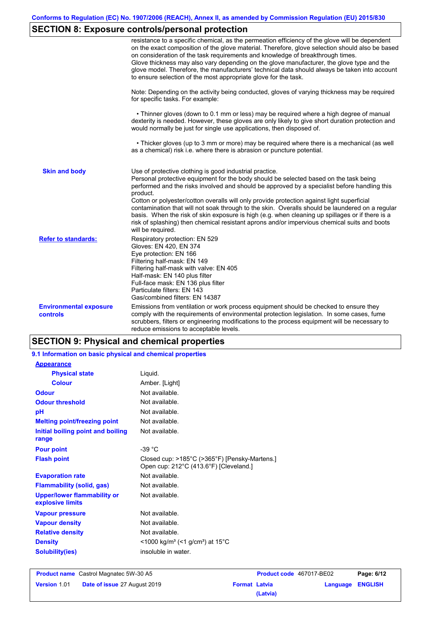# **SECTION 8: Exposure controls/personal protection**

|                                                  | resistance to a specific chemical, as the permeation efficiency of the glove will be dependent<br>on the exact composition of the glove material. Therefore, glove selection should also be based<br>on consideration of the task requirements and knowledge of breakthrough times.<br>Glove thickness may also vary depending on the glove manufacturer, the glove type and the<br>glove model. Therefore, the manufacturers' technical data should always be taken into account<br>to ensure selection of the most appropriate glove for the task.                                                                                                                                  |
|--------------------------------------------------|---------------------------------------------------------------------------------------------------------------------------------------------------------------------------------------------------------------------------------------------------------------------------------------------------------------------------------------------------------------------------------------------------------------------------------------------------------------------------------------------------------------------------------------------------------------------------------------------------------------------------------------------------------------------------------------|
|                                                  | Note: Depending on the activity being conducted, gloves of varying thickness may be required<br>for specific tasks. For example:                                                                                                                                                                                                                                                                                                                                                                                                                                                                                                                                                      |
|                                                  | • Thinner gloves (down to 0.1 mm or less) may be required where a high degree of manual<br>dexterity is needed. However, these gloves are only likely to give short duration protection and<br>would normally be just for single use applications, then disposed of.                                                                                                                                                                                                                                                                                                                                                                                                                  |
|                                                  | • Thicker gloves (up to 3 mm or more) may be required where there is a mechanical (as well<br>as a chemical) risk i.e. where there is abrasion or puncture potential.                                                                                                                                                                                                                                                                                                                                                                                                                                                                                                                 |
| <b>Skin and body</b>                             | Use of protective clothing is good industrial practice.<br>Personal protective equipment for the body should be selected based on the task being<br>performed and the risks involved and should be approved by a specialist before handling this<br>product.<br>Cotton or polyester/cotton overalls will only provide protection against light superficial<br>contamination that will not soak through to the skin. Overalls should be laundered on a regular<br>basis. When the risk of skin exposure is high (e.g. when cleaning up spillages or if there is a<br>risk of splashing) then chemical resistant aprons and/or impervious chemical suits and boots<br>will be required. |
| <b>Refer to standards:</b>                       | Respiratory protection: EN 529<br>Gloves: EN 420, EN 374<br>Eye protection: EN 166<br>Filtering half-mask: EN 149<br>Filtering half-mask with valve: EN 405<br>Half-mask: EN 140 plus filter<br>Full-face mask: EN 136 plus filter<br>Particulate filters: EN 143<br>Gas/combined filters: EN 14387                                                                                                                                                                                                                                                                                                                                                                                   |
| <b>Environmental exposure</b><br><b>controls</b> | Emissions from ventilation or work process equipment should be checked to ensure they<br>comply with the requirements of environmental protection legislation. In some cases, fume<br>scrubbers, filters or engineering modifications to the process equipment will be necessary to<br>reduce emissions to acceptable levels.                                                                                                                                                                                                                                                                                                                                                         |

# **SECTION 9: Physical and chemical properties**

| 9.1 Information on basic physical and chemical properties |                                                                                         |
|-----------------------------------------------------------|-----------------------------------------------------------------------------------------|
| <b>Appearance</b>                                         |                                                                                         |
| <b>Physical state</b>                                     | Liquid.                                                                                 |
| <b>Colour</b>                                             | Amber. [Light]                                                                          |
| <b>Odour</b>                                              | Not available.                                                                          |
| <b>Odour threshold</b>                                    | Not available.                                                                          |
| рH                                                        | Not available.                                                                          |
| <b>Melting point/freezing point</b>                       | Not available.                                                                          |
| Initial boiling point and boiling<br>range                | Not available.                                                                          |
| <b>Pour point</b>                                         | $-39 °C$                                                                                |
| <b>Flash point</b>                                        | Closed cup: >185°C (>365°F) [Pensky-Martens.]<br>Open cup: 212°C (413.6°F) [Cleveland.] |
| <b>Evaporation rate</b>                                   | Not available.                                                                          |
| <b>Flammability (solid, gas)</b>                          | Not available.                                                                          |
| <b>Upper/lower flammability or</b><br>explosive limits    | Not available.                                                                          |
| <b>Vapour pressure</b>                                    | Not available.                                                                          |
| <b>Vapour density</b>                                     | Not available.                                                                          |
| <b>Relative density</b>                                   | Not available.                                                                          |
| <b>Density</b>                                            | $<$ 1000 kg/m <sup>3</sup> (<1 g/cm <sup>3</sup> ) at 15 <sup>°</sup> C                 |
| <b>Solubility(ies)</b>                                    | insoluble in water.                                                                     |

| <b>Product name</b> Castrol Magnatec 5W-30 A5 |                                     |                      | <b>Product code</b> 467017-BE02 |                         | Page: 6/12 |
|-----------------------------------------------|-------------------------------------|----------------------|---------------------------------|-------------------------|------------|
| <b>Version 1.01</b>                           | <b>Date of issue 27 August 2019</b> | <b>Format Latvia</b> |                                 | <b>Language ENGLISH</b> |            |
|                                               |                                     |                      | (Latvia)                        |                         |            |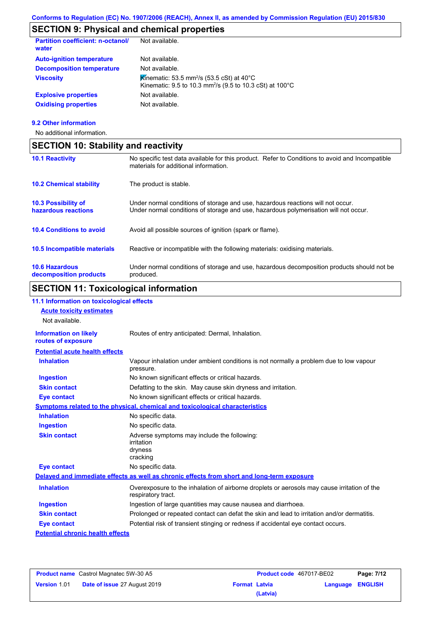# **SECTION 9: Physical and chemical properties**

| <b>Partition coefficient: n-octanol/</b><br>water | Not available.                                                                                                                            |
|---------------------------------------------------|-------------------------------------------------------------------------------------------------------------------------------------------|
| <b>Auto-ignition temperature</b>                  | Not available.                                                                                                                            |
| <b>Decomposition temperature</b>                  | Not available.                                                                                                                            |
| <b>Viscosity</b>                                  | Kinematic: 53.5 mm <sup>2</sup> /s (53.5 cSt) at 40 $^{\circ}$ C<br>Kinematic: 9.5 to 10.3 mm <sup>2</sup> /s (9.5 to 10.3 cSt) at 100 °C |
| <b>Explosive properties</b>                       | Not available.                                                                                                                            |
| <b>Oxidising properties</b>                       | Not available.                                                                                                                            |
|                                                   |                                                                                                                                           |

### **9.2 Other information**

No additional information.

| <b>SECTION 10: Stability and reactivity</b>       |                                                                                                                                                                         |  |
|---------------------------------------------------|-------------------------------------------------------------------------------------------------------------------------------------------------------------------------|--|
| <b>10.1 Reactivity</b>                            | No specific test data available for this product. Refer to Conditions to avoid and Incompatible<br>materials for additional information.                                |  |
| <b>10.2 Chemical stability</b>                    | The product is stable.                                                                                                                                                  |  |
| <b>10.3 Possibility of</b><br>hazardous reactions | Under normal conditions of storage and use, hazardous reactions will not occur.<br>Under normal conditions of storage and use, hazardous polymerisation will not occur. |  |
| <b>10.4 Conditions to avoid</b>                   | Avoid all possible sources of ignition (spark or flame).                                                                                                                |  |
| <b>10.5 Incompatible materials</b>                | Reactive or incompatible with the following materials: oxidising materials.                                                                                             |  |
| <b>10.6 Hazardous</b><br>decomposition products   | Under normal conditions of storage and use, hazardous decomposition products should not be<br>produced.                                                                 |  |

# **SECTION 11: Toxicological information**

| 11.1 Information on toxicological effects<br><b>Acute toxicity estimates</b> |                                                                                                                   |
|------------------------------------------------------------------------------|-------------------------------------------------------------------------------------------------------------------|
| Not available.                                                               |                                                                                                                   |
| <b>Information on likely</b><br>routes of exposure                           | Routes of entry anticipated: Dermal, Inhalation.                                                                  |
| <b>Potential acute health effects</b>                                        |                                                                                                                   |
| <b>Inhalation</b>                                                            | Vapour inhalation under ambient conditions is not normally a problem due to low vapour<br>pressure.               |
| <b>Ingestion</b>                                                             | No known significant effects or critical hazards.                                                                 |
| <b>Skin contact</b>                                                          | Defatting to the skin. May cause skin dryness and irritation.                                                     |
| <b>Eye contact</b>                                                           | No known significant effects or critical hazards.                                                                 |
|                                                                              | Symptoms related to the physical, chemical and toxicological characteristics                                      |
| <b>Inhalation</b>                                                            | No specific data.                                                                                                 |
| <b>Ingestion</b>                                                             | No specific data.                                                                                                 |
| <b>Skin contact</b>                                                          | Adverse symptoms may include the following:<br>irritation<br>dryness<br>cracking                                  |
| <b>Eye contact</b>                                                           | No specific data.                                                                                                 |
|                                                                              | Delayed and immediate effects as well as chronic effects from short and long-term exposure                        |
| <b>Inhalation</b>                                                            | Overexposure to the inhalation of airborne droplets or aerosols may cause irritation of the<br>respiratory tract. |
| <b>Ingestion</b>                                                             | Ingestion of large quantities may cause nausea and diarrhoea.                                                     |
| <b>Skin contact</b>                                                          | Prolonged or repeated contact can defat the skin and lead to irritation and/or dermatitis.                        |
| <b>Eye contact</b>                                                           | Potential risk of transient stinging or redness if accidental eye contact occurs.                                 |
| <b>Potential chronic health effects</b>                                      |                                                                                                                   |

| <b>Product name</b> Castrol Magnatec 5W-30 A5 |                                     | <b>Product code</b> 467017-BE02 |          | Page: 7/12       |  |
|-----------------------------------------------|-------------------------------------|---------------------------------|----------|------------------|--|
| <b>Version 1.01</b>                           | <b>Date of issue 27 August 2019</b> | <b>Format Latvia</b>            |          | Language ENGLISH |  |
|                                               |                                     |                                 | (Latvia) |                  |  |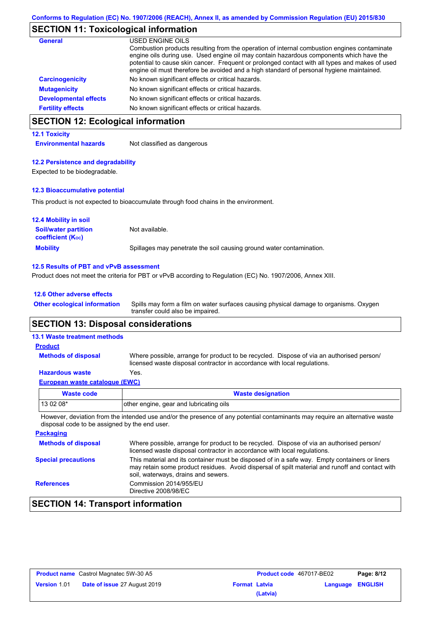# **SECTION 11: Toxicological information**

| General                      | USED ENGINE OILS                                                                                                                                                                                                                                                                                                                                                                     |
|------------------------------|--------------------------------------------------------------------------------------------------------------------------------------------------------------------------------------------------------------------------------------------------------------------------------------------------------------------------------------------------------------------------------------|
|                              | Combustion products resulting from the operation of internal combustion engines contaminate<br>engine oils during use. Used engine oil may contain hazardous components which have the<br>potential to cause skin cancer. Frequent or prolonged contact with all types and makes of used<br>engine oil must therefore be avoided and a high standard of personal hygiene maintained. |
| <b>Carcinogenicity</b>       | No known significant effects or critical hazards.                                                                                                                                                                                                                                                                                                                                    |
| <b>Mutagenicity</b>          | No known significant effects or critical hazards.                                                                                                                                                                                                                                                                                                                                    |
| <b>Developmental effects</b> | No known significant effects or critical hazards.                                                                                                                                                                                                                                                                                                                                    |
| <b>Fertility effects</b>     | No known significant effects or critical hazards.                                                                                                                                                                                                                                                                                                                                    |

# **SECTION 12: Ecological information**

#### **12.1 Toxicity**

**Environmental hazards** Not classified as dangerous

#### **12.2 Persistence and degradability**

Expected to be biodegradable.

#### **12.3 Bioaccumulative potential**

This product is not expected to bioaccumulate through food chains in the environment.

| <b>12.4 Mobility in soil</b>                            |                                                                      |
|---------------------------------------------------------|----------------------------------------------------------------------|
| <b>Soil/water partition</b><br><b>coefficient (Koc)</b> | Not available.                                                       |
| <b>Mobility</b>                                         | Spillages may penetrate the soil causing ground water contamination. |

#### **12.5 Results of PBT and vPvB assessment**

Product does not meet the criteria for PBT or vPvB according to Regulation (EC) No. 1907/2006, Annex XIII.

#### **12.6 Other adverse effects**

Spills may form a film on water surfaces causing physical damage to organisms. Oxygen transfer could also be impaired. **Other ecological information**

### **SECTION 13: Disposal considerations**

#### **13.1 Waste treatment methods**

**Methods of disposal**

#### **Product**

Where possible, arrange for product to be recycled. Dispose of via an authorised person/ licensed waste disposal contractor in accordance with local regulations.

#### **Hazardous waste** Yes.

| European waste catalogue (EWC) |
|--------------------------------|
|--------------------------------|

| Waste code | <b>Waste designation</b>                                                                                                    |
|------------|-----------------------------------------------------------------------------------------------------------------------------|
| 13 02 08*  | other engine, gear and lubricating oils                                                                                     |
|            | However, deviation from the intended use and/or the presence of any potential contaminants may require an alternative waste |

However, deviation from the intended use and/or the presence of any potential contaminants may require an alternative waste disposal code to be assigned by the end user.

| Where possible, arrange for product to be recycled. Dispose of via an authorised person/<br>licensed waste disposal contractor in accordance with local regulations.                                                                    |
|-----------------------------------------------------------------------------------------------------------------------------------------------------------------------------------------------------------------------------------------|
| This material and its container must be disposed of in a safe way. Empty containers or liners<br>may retain some product residues. Avoid dispersal of spilt material and runoff and contact with<br>soil, waterways, drains and sewers. |
| Commission 2014/955/EU<br>Directive 2008/98/EC                                                                                                                                                                                          |
|                                                                                                                                                                                                                                         |

# **SECTION 14: Transport information**

| <b>Product name</b> Castrol Magnatec 5W-30 A5 |                                     | <b>Product code</b> 467017-BE02 |          | Page: 8/12 |                  |
|-----------------------------------------------|-------------------------------------|---------------------------------|----------|------------|------------------|
| Version 1.01                                  | <b>Date of issue 27 August 2019</b> | <b>Format Latvia</b>            |          |            | Language ENGLISH |
|                                               |                                     |                                 | (Latvia) |            |                  |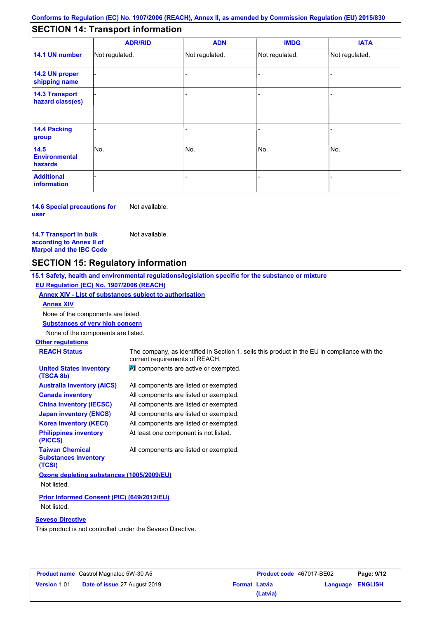# **SECTION 14: Transport information**

|                                           | <b>ADR/RID</b> | <b>ADN</b>     | <b>IMDG</b>    | <b>IATA</b>    |  |  |
|-------------------------------------------|----------------|----------------|----------------|----------------|--|--|
| 14.1 UN number                            | Not regulated. | Not regulated. | Not regulated. | Not regulated. |  |  |
| 14.2 UN proper<br>shipping name           |                |                |                |                |  |  |
| <b>14.3 Transport</b><br>hazard class(es) |                |                |                |                |  |  |
| 14.4 Packing<br>group                     |                |                |                |                |  |  |
| 14.5<br><b>Environmental</b><br>hazards   | No.            | No.            | No.            | No.            |  |  |
| <b>Additional</b><br>information          |                |                |                |                |  |  |

**14.6 Special precautions for user** Not available.

**14.7 Transport in bulk according to Annex II of Marpol and the IBC Code**

### **SECTION 15: Regulatory information**

**15.1 Safety, health and environmental regulations/legislation specific for the substance or mixture EU Regulation (EC) No. 1907/2006 (REACH)**

#### **Annex XIV - List of substances subject to authorisation**

Not available.

**Annex XIV**

None of the components are listed.

**Substances of very high concern**

None of the components are listed.

#### **Other regulations**

**United States inventory** 

**REACH Status** The company, as identified in Section 1, sells this product in the EU in compliance with the current requirements of REACH. **All components are active or exempted.** 

| (TSCA 8b)                                                       |                                        |
|-----------------------------------------------------------------|----------------------------------------|
| <b>Australia inventory (AICS)</b>                               | All components are listed or exempted. |
| <b>Canada inventory</b>                                         | All components are listed or exempted. |
| <b>China inventory (IECSC)</b>                                  | All components are listed or exempted. |
| <b>Japan inventory (ENCS)</b>                                   | All components are listed or exempted. |
| <b>Korea inventory (KECI)</b>                                   | All components are listed or exempted. |
| <b>Philippines inventory</b><br>(PICCS)                         | At least one component is not listed.  |
| <b>Taiwan Chemical</b><br><b>Substances Inventory</b><br>(TCSI) | All components are listed or exempted. |
| Ozone depleting substances (1005/2009/EU)                       |                                        |

Not listed.

**Prior Informed Consent (PIC) (649/2012/EU)** Not listed.

#### **Seveso Directive**

This product is not controlled under the Seveso Directive.

| <b>Product name</b> Castrol Magnatec 5W-30 A5 |                                     | <b>Product code</b> 467017-BE02 |          | Page: 9/12              |  |
|-----------------------------------------------|-------------------------------------|---------------------------------|----------|-------------------------|--|
| <b>Version 1.01</b>                           | <b>Date of issue 27 August 2019</b> | <b>Format Latvia</b>            |          | <b>Language ENGLISH</b> |  |
|                                               |                                     |                                 | (Latvia) |                         |  |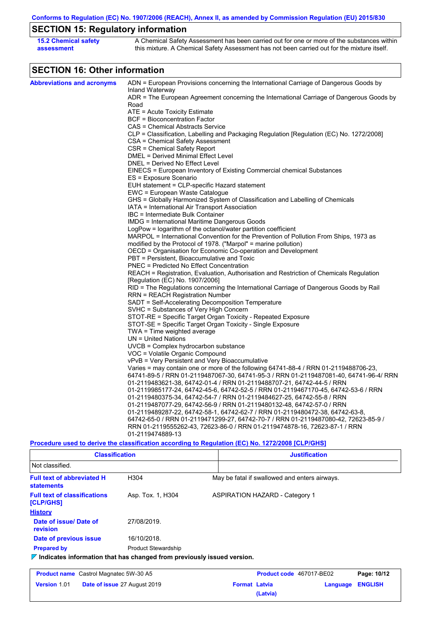**Conforms to Regulation (EC) No. 1907/2006 (REACH), Annex II, as amended by Commission Regulation (EU) 2015/830**

# **SECTION 15: Regulatory information**

| <b>15.2 Chemical safety</b> | A Chemical Safety Assessment has been carried out for one or more of the substances within  |
|-----------------------------|---------------------------------------------------------------------------------------------|
| assessment                  | this mixture. A Chemical Safety Assessment has not been carried out for the mixture itself. |

# **SECTION 16: Other information**

| ADN = European Provisions concerning the International Carriage of Dangerous Goods by<br>Inland Waterway<br>ADR = The European Agreement concerning the International Carriage of Dangerous Goods by<br>Road<br>ATE = Acute Toxicity Estimate<br><b>BCF</b> = Bioconcentration Factor<br>CAS = Chemical Abstracts Service<br>CLP = Classification, Labelling and Packaging Regulation [Regulation (EC) No. 1272/2008]<br>CSA = Chemical Safety Assessment<br>CSR = Chemical Safety Report<br>DMEL = Derived Minimal Effect Level<br>DNEL = Derived No Effect Level<br>EINECS = European Inventory of Existing Commercial chemical Substances<br>ES = Exposure Scenario<br>EUH statement = CLP-specific Hazard statement<br>EWC = European Waste Catalogue<br>GHS = Globally Harmonized System of Classification and Labelling of Chemicals<br>IATA = International Air Transport Association<br>IBC = Intermediate Bulk Container<br>IMDG = International Maritime Dangerous Goods<br>LogPow = logarithm of the octanol/water partition coefficient<br>MARPOL = International Convention for the Prevention of Pollution From Ships, 1973 as<br>modified by the Protocol of 1978. ("Marpol" = marine pollution)<br>OECD = Organisation for Economic Co-operation and Development<br>PBT = Persistent, Bioaccumulative and Toxic<br>PNEC = Predicted No Effect Concentration<br>REACH = Registration, Evaluation, Authorisation and Restriction of Chemicals Regulation<br>[Regulation (EC) No. 1907/2006]<br>RID = The Regulations concerning the International Carriage of Dangerous Goods by Rail<br><b>RRN = REACH Registration Number</b><br>SADT = Self-Accelerating Decomposition Temperature<br>SVHC = Substances of Very High Concern<br>STOT-RE = Specific Target Organ Toxicity - Repeated Exposure<br>STOT-SE = Specific Target Organ Toxicity - Single Exposure<br>TWA = Time weighted average<br>$UN = United Nations$<br>$UVCB = Complex\;hydrocarbon\; substance$<br>VOC = Volatile Organic Compound<br>vPvB = Very Persistent and Very Bioaccumulative<br>Varies = may contain one or more of the following 64741-88-4 / RRN 01-2119488706-23,<br>64741-89-5 / RRN 01-2119487067-30, 64741-95-3 / RRN 01-2119487081-40, 64741-96-4/ RRN<br>01-2119483621-38, 64742-01-4 / RRN 01-2119488707-21, 64742-44-5 / RRN<br>01-2119985177-24, 64742-45-6, 64742-52-5 / RRN 01-2119467170-45, 64742-53-6 / RRN<br>01-2119480375-34, 64742-54-7 / RRN 01-2119484627-25, 64742-55-8 / RRN<br>01-2119487077-29, 64742-56-9 / RRN 01-2119480132-48, 64742-57-0 / RRN<br>01-2119489287-22, 64742-58-1, 64742-62-7 / RRN 01-2119480472-38, 64742-63-8,<br>64742-65-0 / RRN 01-2119471299-27, 64742-70-7 / RRN 01-2119487080-42, 72623-85-9 /<br>RRN 01-2119555262-43, 72623-86-0 / RRN 01-2119474878-16, 72623-87-1 / RRN<br>01-2119474889-13<br>Procedure used to derive the classification according to Regulation (EC) No. 1272/2008 [CLP/GHS] |                                   |  |
|----------------------------------------------------------------------------------------------------------------------------------------------------------------------------------------------------------------------------------------------------------------------------------------------------------------------------------------------------------------------------------------------------------------------------------------------------------------------------------------------------------------------------------------------------------------------------------------------------------------------------------------------------------------------------------------------------------------------------------------------------------------------------------------------------------------------------------------------------------------------------------------------------------------------------------------------------------------------------------------------------------------------------------------------------------------------------------------------------------------------------------------------------------------------------------------------------------------------------------------------------------------------------------------------------------------------------------------------------------------------------------------------------------------------------------------------------------------------------------------------------------------------------------------------------------------------------------------------------------------------------------------------------------------------------------------------------------------------------------------------------------------------------------------------------------------------------------------------------------------------------------------------------------------------------------------------------------------------------------------------------------------------------------------------------------------------------------------------------------------------------------------------------------------------------------------------------------------------------------------------------------------------------------------------------------------------------------------------------------------------------------------------------------------------------------------------------------------------------------------------------------------------------------------------------------------------------------------------------------------------------------------------------------------------------------------------------------------------------------------------------------------------------------------------------------------------------------------------------------------------------------------------------------------------------------------------------|-----------------------------------|--|
|                                                                                                                                                                                                                                                                                                                                                                                                                                                                                                                                                                                                                                                                                                                                                                                                                                                                                                                                                                                                                                                                                                                                                                                                                                                                                                                                                                                                                                                                                                                                                                                                                                                                                                                                                                                                                                                                                                                                                                                                                                                                                                                                                                                                                                                                                                                                                                                                                                                                                                                                                                                                                                                                                                                                                                                                                                                                                                                                                    | <b>Abbreviations and acronyms</b> |  |
|                                                                                                                                                                                                                                                                                                                                                                                                                                                                                                                                                                                                                                                                                                                                                                                                                                                                                                                                                                                                                                                                                                                                                                                                                                                                                                                                                                                                                                                                                                                                                                                                                                                                                                                                                                                                                                                                                                                                                                                                                                                                                                                                                                                                                                                                                                                                                                                                                                                                                                                                                                                                                                                                                                                                                                                                                                                                                                                                                    |                                   |  |
|                                                                                                                                                                                                                                                                                                                                                                                                                                                                                                                                                                                                                                                                                                                                                                                                                                                                                                                                                                                                                                                                                                                                                                                                                                                                                                                                                                                                                                                                                                                                                                                                                                                                                                                                                                                                                                                                                                                                                                                                                                                                                                                                                                                                                                                                                                                                                                                                                                                                                                                                                                                                                                                                                                                                                                                                                                                                                                                                                    |                                   |  |
|                                                                                                                                                                                                                                                                                                                                                                                                                                                                                                                                                                                                                                                                                                                                                                                                                                                                                                                                                                                                                                                                                                                                                                                                                                                                                                                                                                                                                                                                                                                                                                                                                                                                                                                                                                                                                                                                                                                                                                                                                                                                                                                                                                                                                                                                                                                                                                                                                                                                                                                                                                                                                                                                                                                                                                                                                                                                                                                                                    |                                   |  |
|                                                                                                                                                                                                                                                                                                                                                                                                                                                                                                                                                                                                                                                                                                                                                                                                                                                                                                                                                                                                                                                                                                                                                                                                                                                                                                                                                                                                                                                                                                                                                                                                                                                                                                                                                                                                                                                                                                                                                                                                                                                                                                                                                                                                                                                                                                                                                                                                                                                                                                                                                                                                                                                                                                                                                                                                                                                                                                                                                    |                                   |  |
|                                                                                                                                                                                                                                                                                                                                                                                                                                                                                                                                                                                                                                                                                                                                                                                                                                                                                                                                                                                                                                                                                                                                                                                                                                                                                                                                                                                                                                                                                                                                                                                                                                                                                                                                                                                                                                                                                                                                                                                                                                                                                                                                                                                                                                                                                                                                                                                                                                                                                                                                                                                                                                                                                                                                                                                                                                                                                                                                                    |                                   |  |
|                                                                                                                                                                                                                                                                                                                                                                                                                                                                                                                                                                                                                                                                                                                                                                                                                                                                                                                                                                                                                                                                                                                                                                                                                                                                                                                                                                                                                                                                                                                                                                                                                                                                                                                                                                                                                                                                                                                                                                                                                                                                                                                                                                                                                                                                                                                                                                                                                                                                                                                                                                                                                                                                                                                                                                                                                                                                                                                                                    |                                   |  |
|                                                                                                                                                                                                                                                                                                                                                                                                                                                                                                                                                                                                                                                                                                                                                                                                                                                                                                                                                                                                                                                                                                                                                                                                                                                                                                                                                                                                                                                                                                                                                                                                                                                                                                                                                                                                                                                                                                                                                                                                                                                                                                                                                                                                                                                                                                                                                                                                                                                                                                                                                                                                                                                                                                                                                                                                                                                                                                                                                    |                                   |  |
|                                                                                                                                                                                                                                                                                                                                                                                                                                                                                                                                                                                                                                                                                                                                                                                                                                                                                                                                                                                                                                                                                                                                                                                                                                                                                                                                                                                                                                                                                                                                                                                                                                                                                                                                                                                                                                                                                                                                                                                                                                                                                                                                                                                                                                                                                                                                                                                                                                                                                                                                                                                                                                                                                                                                                                                                                                                                                                                                                    |                                   |  |
|                                                                                                                                                                                                                                                                                                                                                                                                                                                                                                                                                                                                                                                                                                                                                                                                                                                                                                                                                                                                                                                                                                                                                                                                                                                                                                                                                                                                                                                                                                                                                                                                                                                                                                                                                                                                                                                                                                                                                                                                                                                                                                                                                                                                                                                                                                                                                                                                                                                                                                                                                                                                                                                                                                                                                                                                                                                                                                                                                    |                                   |  |
|                                                                                                                                                                                                                                                                                                                                                                                                                                                                                                                                                                                                                                                                                                                                                                                                                                                                                                                                                                                                                                                                                                                                                                                                                                                                                                                                                                                                                                                                                                                                                                                                                                                                                                                                                                                                                                                                                                                                                                                                                                                                                                                                                                                                                                                                                                                                                                                                                                                                                                                                                                                                                                                                                                                                                                                                                                                                                                                                                    |                                   |  |
|                                                                                                                                                                                                                                                                                                                                                                                                                                                                                                                                                                                                                                                                                                                                                                                                                                                                                                                                                                                                                                                                                                                                                                                                                                                                                                                                                                                                                                                                                                                                                                                                                                                                                                                                                                                                                                                                                                                                                                                                                                                                                                                                                                                                                                                                                                                                                                                                                                                                                                                                                                                                                                                                                                                                                                                                                                                                                                                                                    |                                   |  |
|                                                                                                                                                                                                                                                                                                                                                                                                                                                                                                                                                                                                                                                                                                                                                                                                                                                                                                                                                                                                                                                                                                                                                                                                                                                                                                                                                                                                                                                                                                                                                                                                                                                                                                                                                                                                                                                                                                                                                                                                                                                                                                                                                                                                                                                                                                                                                                                                                                                                                                                                                                                                                                                                                                                                                                                                                                                                                                                                                    |                                   |  |
|                                                                                                                                                                                                                                                                                                                                                                                                                                                                                                                                                                                                                                                                                                                                                                                                                                                                                                                                                                                                                                                                                                                                                                                                                                                                                                                                                                                                                                                                                                                                                                                                                                                                                                                                                                                                                                                                                                                                                                                                                                                                                                                                                                                                                                                                                                                                                                                                                                                                                                                                                                                                                                                                                                                                                                                                                                                                                                                                                    |                                   |  |
|                                                                                                                                                                                                                                                                                                                                                                                                                                                                                                                                                                                                                                                                                                                                                                                                                                                                                                                                                                                                                                                                                                                                                                                                                                                                                                                                                                                                                                                                                                                                                                                                                                                                                                                                                                                                                                                                                                                                                                                                                                                                                                                                                                                                                                                                                                                                                                                                                                                                                                                                                                                                                                                                                                                                                                                                                                                                                                                                                    |                                   |  |
|                                                                                                                                                                                                                                                                                                                                                                                                                                                                                                                                                                                                                                                                                                                                                                                                                                                                                                                                                                                                                                                                                                                                                                                                                                                                                                                                                                                                                                                                                                                                                                                                                                                                                                                                                                                                                                                                                                                                                                                                                                                                                                                                                                                                                                                                                                                                                                                                                                                                                                                                                                                                                                                                                                                                                                                                                                                                                                                                                    |                                   |  |
|                                                                                                                                                                                                                                                                                                                                                                                                                                                                                                                                                                                                                                                                                                                                                                                                                                                                                                                                                                                                                                                                                                                                                                                                                                                                                                                                                                                                                                                                                                                                                                                                                                                                                                                                                                                                                                                                                                                                                                                                                                                                                                                                                                                                                                                                                                                                                                                                                                                                                                                                                                                                                                                                                                                                                                                                                                                                                                                                                    |                                   |  |
|                                                                                                                                                                                                                                                                                                                                                                                                                                                                                                                                                                                                                                                                                                                                                                                                                                                                                                                                                                                                                                                                                                                                                                                                                                                                                                                                                                                                                                                                                                                                                                                                                                                                                                                                                                                                                                                                                                                                                                                                                                                                                                                                                                                                                                                                                                                                                                                                                                                                                                                                                                                                                                                                                                                                                                                                                                                                                                                                                    |                                   |  |
|                                                                                                                                                                                                                                                                                                                                                                                                                                                                                                                                                                                                                                                                                                                                                                                                                                                                                                                                                                                                                                                                                                                                                                                                                                                                                                                                                                                                                                                                                                                                                                                                                                                                                                                                                                                                                                                                                                                                                                                                                                                                                                                                                                                                                                                                                                                                                                                                                                                                                                                                                                                                                                                                                                                                                                                                                                                                                                                                                    |                                   |  |
|                                                                                                                                                                                                                                                                                                                                                                                                                                                                                                                                                                                                                                                                                                                                                                                                                                                                                                                                                                                                                                                                                                                                                                                                                                                                                                                                                                                                                                                                                                                                                                                                                                                                                                                                                                                                                                                                                                                                                                                                                                                                                                                                                                                                                                                                                                                                                                                                                                                                                                                                                                                                                                                                                                                                                                                                                                                                                                                                                    |                                   |  |
|                                                                                                                                                                                                                                                                                                                                                                                                                                                                                                                                                                                                                                                                                                                                                                                                                                                                                                                                                                                                                                                                                                                                                                                                                                                                                                                                                                                                                                                                                                                                                                                                                                                                                                                                                                                                                                                                                                                                                                                                                                                                                                                                                                                                                                                                                                                                                                                                                                                                                                                                                                                                                                                                                                                                                                                                                                                                                                                                                    |                                   |  |
|                                                                                                                                                                                                                                                                                                                                                                                                                                                                                                                                                                                                                                                                                                                                                                                                                                                                                                                                                                                                                                                                                                                                                                                                                                                                                                                                                                                                                                                                                                                                                                                                                                                                                                                                                                                                                                                                                                                                                                                                                                                                                                                                                                                                                                                                                                                                                                                                                                                                                                                                                                                                                                                                                                                                                                                                                                                                                                                                                    |                                   |  |
|                                                                                                                                                                                                                                                                                                                                                                                                                                                                                                                                                                                                                                                                                                                                                                                                                                                                                                                                                                                                                                                                                                                                                                                                                                                                                                                                                                                                                                                                                                                                                                                                                                                                                                                                                                                                                                                                                                                                                                                                                                                                                                                                                                                                                                                                                                                                                                                                                                                                                                                                                                                                                                                                                                                                                                                                                                                                                                                                                    |                                   |  |
|                                                                                                                                                                                                                                                                                                                                                                                                                                                                                                                                                                                                                                                                                                                                                                                                                                                                                                                                                                                                                                                                                                                                                                                                                                                                                                                                                                                                                                                                                                                                                                                                                                                                                                                                                                                                                                                                                                                                                                                                                                                                                                                                                                                                                                                                                                                                                                                                                                                                                                                                                                                                                                                                                                                                                                                                                                                                                                                                                    |                                   |  |
|                                                                                                                                                                                                                                                                                                                                                                                                                                                                                                                                                                                                                                                                                                                                                                                                                                                                                                                                                                                                                                                                                                                                                                                                                                                                                                                                                                                                                                                                                                                                                                                                                                                                                                                                                                                                                                                                                                                                                                                                                                                                                                                                                                                                                                                                                                                                                                                                                                                                                                                                                                                                                                                                                                                                                                                                                                                                                                                                                    |                                   |  |
|                                                                                                                                                                                                                                                                                                                                                                                                                                                                                                                                                                                                                                                                                                                                                                                                                                                                                                                                                                                                                                                                                                                                                                                                                                                                                                                                                                                                                                                                                                                                                                                                                                                                                                                                                                                                                                                                                                                                                                                                                                                                                                                                                                                                                                                                                                                                                                                                                                                                                                                                                                                                                                                                                                                                                                                                                                                                                                                                                    |                                   |  |
|                                                                                                                                                                                                                                                                                                                                                                                                                                                                                                                                                                                                                                                                                                                                                                                                                                                                                                                                                                                                                                                                                                                                                                                                                                                                                                                                                                                                                                                                                                                                                                                                                                                                                                                                                                                                                                                                                                                                                                                                                                                                                                                                                                                                                                                                                                                                                                                                                                                                                                                                                                                                                                                                                                                                                                                                                                                                                                                                                    |                                   |  |
|                                                                                                                                                                                                                                                                                                                                                                                                                                                                                                                                                                                                                                                                                                                                                                                                                                                                                                                                                                                                                                                                                                                                                                                                                                                                                                                                                                                                                                                                                                                                                                                                                                                                                                                                                                                                                                                                                                                                                                                                                                                                                                                                                                                                                                                                                                                                                                                                                                                                                                                                                                                                                                                                                                                                                                                                                                                                                                                                                    |                                   |  |
|                                                                                                                                                                                                                                                                                                                                                                                                                                                                                                                                                                                                                                                                                                                                                                                                                                                                                                                                                                                                                                                                                                                                                                                                                                                                                                                                                                                                                                                                                                                                                                                                                                                                                                                                                                                                                                                                                                                                                                                                                                                                                                                                                                                                                                                                                                                                                                                                                                                                                                                                                                                                                                                                                                                                                                                                                                                                                                                                                    |                                   |  |
|                                                                                                                                                                                                                                                                                                                                                                                                                                                                                                                                                                                                                                                                                                                                                                                                                                                                                                                                                                                                                                                                                                                                                                                                                                                                                                                                                                                                                                                                                                                                                                                                                                                                                                                                                                                                                                                                                                                                                                                                                                                                                                                                                                                                                                                                                                                                                                                                                                                                                                                                                                                                                                                                                                                                                                                                                                                                                                                                                    |                                   |  |
|                                                                                                                                                                                                                                                                                                                                                                                                                                                                                                                                                                                                                                                                                                                                                                                                                                                                                                                                                                                                                                                                                                                                                                                                                                                                                                                                                                                                                                                                                                                                                                                                                                                                                                                                                                                                                                                                                                                                                                                                                                                                                                                                                                                                                                                                                                                                                                                                                                                                                                                                                                                                                                                                                                                                                                                                                                                                                                                                                    |                                   |  |
|                                                                                                                                                                                                                                                                                                                                                                                                                                                                                                                                                                                                                                                                                                                                                                                                                                                                                                                                                                                                                                                                                                                                                                                                                                                                                                                                                                                                                                                                                                                                                                                                                                                                                                                                                                                                                                                                                                                                                                                                                                                                                                                                                                                                                                                                                                                                                                                                                                                                                                                                                                                                                                                                                                                                                                                                                                                                                                                                                    |                                   |  |
|                                                                                                                                                                                                                                                                                                                                                                                                                                                                                                                                                                                                                                                                                                                                                                                                                                                                                                                                                                                                                                                                                                                                                                                                                                                                                                                                                                                                                                                                                                                                                                                                                                                                                                                                                                                                                                                                                                                                                                                                                                                                                                                                                                                                                                                                                                                                                                                                                                                                                                                                                                                                                                                                                                                                                                                                                                                                                                                                                    |                                   |  |
|                                                                                                                                                                                                                                                                                                                                                                                                                                                                                                                                                                                                                                                                                                                                                                                                                                                                                                                                                                                                                                                                                                                                                                                                                                                                                                                                                                                                                                                                                                                                                                                                                                                                                                                                                                                                                                                                                                                                                                                                                                                                                                                                                                                                                                                                                                                                                                                                                                                                                                                                                                                                                                                                                                                                                                                                                                                                                                                                                    |                                   |  |
|                                                                                                                                                                                                                                                                                                                                                                                                                                                                                                                                                                                                                                                                                                                                                                                                                                                                                                                                                                                                                                                                                                                                                                                                                                                                                                                                                                                                                                                                                                                                                                                                                                                                                                                                                                                                                                                                                                                                                                                                                                                                                                                                                                                                                                                                                                                                                                                                                                                                                                                                                                                                                                                                                                                                                                                                                                                                                                                                                    |                                   |  |
|                                                                                                                                                                                                                                                                                                                                                                                                                                                                                                                                                                                                                                                                                                                                                                                                                                                                                                                                                                                                                                                                                                                                                                                                                                                                                                                                                                                                                                                                                                                                                                                                                                                                                                                                                                                                                                                                                                                                                                                                                                                                                                                                                                                                                                                                                                                                                                                                                                                                                                                                                                                                                                                                                                                                                                                                                                                                                                                                                    |                                   |  |
|                                                                                                                                                                                                                                                                                                                                                                                                                                                                                                                                                                                                                                                                                                                                                                                                                                                                                                                                                                                                                                                                                                                                                                                                                                                                                                                                                                                                                                                                                                                                                                                                                                                                                                                                                                                                                                                                                                                                                                                                                                                                                                                                                                                                                                                                                                                                                                                                                                                                                                                                                                                                                                                                                                                                                                                                                                                                                                                                                    |                                   |  |
|                                                                                                                                                                                                                                                                                                                                                                                                                                                                                                                                                                                                                                                                                                                                                                                                                                                                                                                                                                                                                                                                                                                                                                                                                                                                                                                                                                                                                                                                                                                                                                                                                                                                                                                                                                                                                                                                                                                                                                                                                                                                                                                                                                                                                                                                                                                                                                                                                                                                                                                                                                                                                                                                                                                                                                                                                                                                                                                                                    |                                   |  |
|                                                                                                                                                                                                                                                                                                                                                                                                                                                                                                                                                                                                                                                                                                                                                                                                                                                                                                                                                                                                                                                                                                                                                                                                                                                                                                                                                                                                                                                                                                                                                                                                                                                                                                                                                                                                                                                                                                                                                                                                                                                                                                                                                                                                                                                                                                                                                                                                                                                                                                                                                                                                                                                                                                                                                                                                                                                                                                                                                    |                                   |  |
|                                                                                                                                                                                                                                                                                                                                                                                                                                                                                                                                                                                                                                                                                                                                                                                                                                                                                                                                                                                                                                                                                                                                                                                                                                                                                                                                                                                                                                                                                                                                                                                                                                                                                                                                                                                                                                                                                                                                                                                                                                                                                                                                                                                                                                                                                                                                                                                                                                                                                                                                                                                                                                                                                                                                                                                                                                                                                                                                                    |                                   |  |
|                                                                                                                                                                                                                                                                                                                                                                                                                                                                                                                                                                                                                                                                                                                                                                                                                                                                                                                                                                                                                                                                                                                                                                                                                                                                                                                                                                                                                                                                                                                                                                                                                                                                                                                                                                                                                                                                                                                                                                                                                                                                                                                                                                                                                                                                                                                                                                                                                                                                                                                                                                                                                                                                                                                                                                                                                                                                                                                                                    |                                   |  |
|                                                                                                                                                                                                                                                                                                                                                                                                                                                                                                                                                                                                                                                                                                                                                                                                                                                                                                                                                                                                                                                                                                                                                                                                                                                                                                                                                                                                                                                                                                                                                                                                                                                                                                                                                                                                                                                                                                                                                                                                                                                                                                                                                                                                                                                                                                                                                                                                                                                                                                                                                                                                                                                                                                                                                                                                                                                                                                                                                    |                                   |  |
|                                                                                                                                                                                                                                                                                                                                                                                                                                                                                                                                                                                                                                                                                                                                                                                                                                                                                                                                                                                                                                                                                                                                                                                                                                                                                                                                                                                                                                                                                                                                                                                                                                                                                                                                                                                                                                                                                                                                                                                                                                                                                                                                                                                                                                                                                                                                                                                                                                                                                                                                                                                                                                                                                                                                                                                                                                                                                                                                                    |                                   |  |
|                                                                                                                                                                                                                                                                                                                                                                                                                                                                                                                                                                                                                                                                                                                                                                                                                                                                                                                                                                                                                                                                                                                                                                                                                                                                                                                                                                                                                                                                                                                                                                                                                                                                                                                                                                                                                                                                                                                                                                                                                                                                                                                                                                                                                                                                                                                                                                                                                                                                                                                                                                                                                                                                                                                                                                                                                                                                                                                                                    |                                   |  |
|                                                                                                                                                                                                                                                                                                                                                                                                                                                                                                                                                                                                                                                                                                                                                                                                                                                                                                                                                                                                                                                                                                                                                                                                                                                                                                                                                                                                                                                                                                                                                                                                                                                                                                                                                                                                                                                                                                                                                                                                                                                                                                                                                                                                                                                                                                                                                                                                                                                                                                                                                                                                                                                                                                                                                                                                                                                                                                                                                    |                                   |  |
|                                                                                                                                                                                                                                                                                                                                                                                                                                                                                                                                                                                                                                                                                                                                                                                                                                                                                                                                                                                                                                                                                                                                                                                                                                                                                                                                                                                                                                                                                                                                                                                                                                                                                                                                                                                                                                                                                                                                                                                                                                                                                                                                                                                                                                                                                                                                                                                                                                                                                                                                                                                                                                                                                                                                                                                                                                                                                                                                                    |                                   |  |
|                                                                                                                                                                                                                                                                                                                                                                                                                                                                                                                                                                                                                                                                                                                                                                                                                                                                                                                                                                                                                                                                                                                                                                                                                                                                                                                                                                                                                                                                                                                                                                                                                                                                                                                                                                                                                                                                                                                                                                                                                                                                                                                                                                                                                                                                                                                                                                                                                                                                                                                                                                                                                                                                                                                                                                                                                                                                                                                                                    |                                   |  |
|                                                                                                                                                                                                                                                                                                                                                                                                                                                                                                                                                                                                                                                                                                                                                                                                                                                                                                                                                                                                                                                                                                                                                                                                                                                                                                                                                                                                                                                                                                                                                                                                                                                                                                                                                                                                                                                                                                                                                                                                                                                                                                                                                                                                                                                                                                                                                                                                                                                                                                                                                                                                                                                                                                                                                                                                                                                                                                                                                    |                                   |  |

| <b>Classification</b>                                                                  |                              |                                               | <b>Justification</b> |                |
|----------------------------------------------------------------------------------------|------------------------------|-----------------------------------------------|----------------------|----------------|
| Not classified.                                                                        |                              |                                               |                      |                |
| <b>Full text of abbreviated H</b><br><b>statements</b>                                 | H304                         | May be fatal if swallowed and enters airways. |                      |                |
| <b>Full text of classifications</b><br>[CLP/GHS]                                       | Asp. Tox. 1, H304            | <b>ASPIRATION HAZARD - Category 1</b>         |                      |                |
| <b>History</b>                                                                         |                              |                                               |                      |                |
| Date of issue/Date of<br>revision                                                      | 27/08/2019.                  |                                               |                      |                |
| Date of previous issue                                                                 | 16/10/2018.                  |                                               |                      |                |
| <b>Prepared by</b>                                                                     | <b>Product Stewardship</b>   |                                               |                      |                |
| $\triangledown$ Indicates information that has changed from previously issued version. |                              |                                               |                      |                |
| <b>Product name</b> Castrol Magnatec 5W-30 A5                                          |                              | Product code 467017-BE02                      |                      | Page: 10/12    |
| <b>Version 1.01</b>                                                                    | Date of issue 27 August 2019 | <b>Format Latvia</b>                          | Language             | <b>ENGLISH</b> |

**(Latvia)**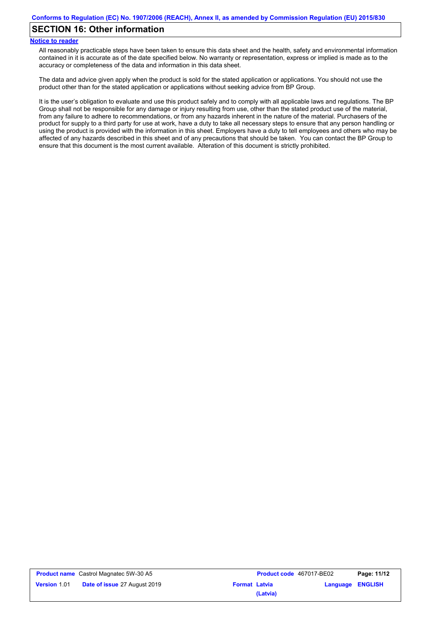## **SECTION 16: Other information**

#### **Notice to reader**

All reasonably practicable steps have been taken to ensure this data sheet and the health, safety and environmental information contained in it is accurate as of the date specified below. No warranty or representation, express or implied is made as to the accuracy or completeness of the data and information in this data sheet.

The data and advice given apply when the product is sold for the stated application or applications. You should not use the product other than for the stated application or applications without seeking advice from BP Group.

It is the user's obligation to evaluate and use this product safely and to comply with all applicable laws and regulations. The BP Group shall not be responsible for any damage or injury resulting from use, other than the stated product use of the material, from any failure to adhere to recommendations, or from any hazards inherent in the nature of the material. Purchasers of the product for supply to a third party for use at work, have a duty to take all necessary steps to ensure that any person handling or using the product is provided with the information in this sheet. Employers have a duty to tell employees and others who may be affected of any hazards described in this sheet and of any precautions that should be taken. You can contact the BP Group to ensure that this document is the most current available. Alteration of this document is strictly prohibited.